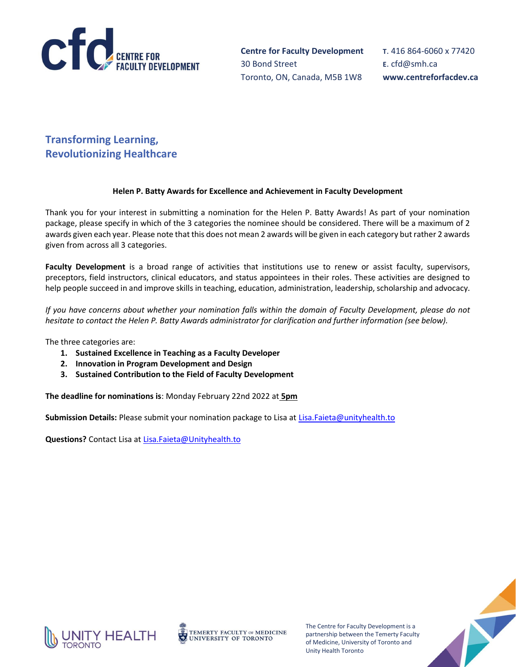

T. 416 864-6060 x 77420 E. cfd@smh.ca www.centreforfacdev.ca

# Transforming Learning, Revolutionizing Healthcare

# Helen P. Batty Awards for Excellence and Achievement in Faculty Development

Thank you for your interest in submitting a nomination for the Helen P. Batty Awards! As part of your nomination package, please specify in which of the 3 categories the nominee should be considered. There will be a maximum of 2 awards given each year. Please note that this does not mean 2 awards will be given in each category but rather 2 awards given from across all 3 categories.

Faculty Development is a broad range of activities that institutions use to renew or assist faculty, supervisors, preceptors, field instructors, clinical educators, and status appointees in their roles. These activities are designed to help people succeed in and improve skills in teaching, education, administration, leadership, scholarship and advocacy.

If you have concerns about whether your nomination falls within the domain of Faculty Development, please do not hesitate to contact the Helen P. Batty Awards administrator for clarification and further information (see below).

The three categories are:

- 1. Sustained Excellence in Teaching as a Faculty Developer
- 2. Innovation in Program Development and Design
- 3. Sustained Contribution to the Field of Faculty Development

The deadline for nominations is: Monday February 22nd 2022 at 5pm

Submission Details: Please submit your nomination package to Lisa at Lisa.Faieta@unityhealth.to

Questions? Contact Lisa at Lisa.Faieta@Unityhealth.to



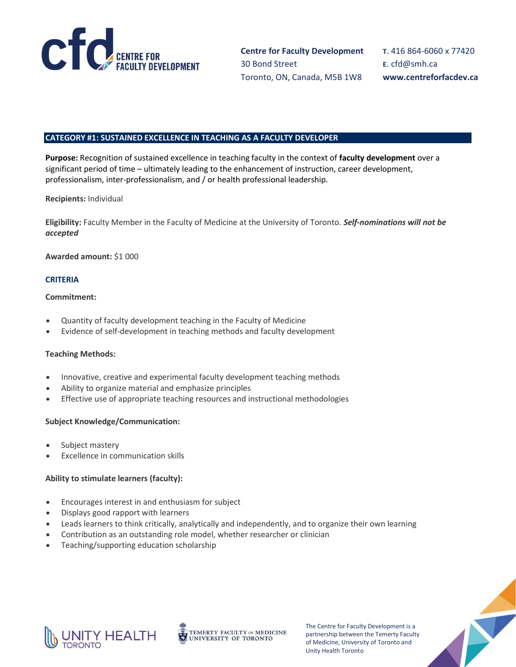

T. 416 864-6060 x 77420 E. cfd@smh.ca www.centreforfacdev.ca

#### CATEGORY #1: SUSTAINED EXCELLENCE IN TEACHING AS A FACULTY DEVELOPER

Purpose: Recognition of sustained excellence in teaching faculty in the context of faculty development over a significant period of time – ultimately leading to the enhancement of instruction, career development, professionalism, inter-professionalism, and / or health professional leadership.

Recipients: Individual

Eligibility: Faculty Member in the Faculty of Medicine at the University of Toronto. Self-nominations will not be accepted

Awarded amount: \$1 000

# **CRITERIA**

## Commitment:

- Quantity of faculty development teaching in the Faculty of Medicine
- Evidence of self-development in teaching methods and faculty development

# Teaching Methods:

- Innovative, creative and experimental faculty development teaching methods
- Ability to organize material and emphasize principles
- Effective use of appropriate teaching resources and instructional methodologies

# Subject Knowledge/Communication:

- Subject mastery
- Excellence in communication skills

# Ability to stimulate learners (faculty):

- Encourages interest in and enthusiasm for subject
- Displays good rapport with learners
- Leads learners to think critically, analytically and independently, and to organize their own learning
- Contribution as an outstanding role model, whether researcher or clinician
- Teaching/supporting education scholarship



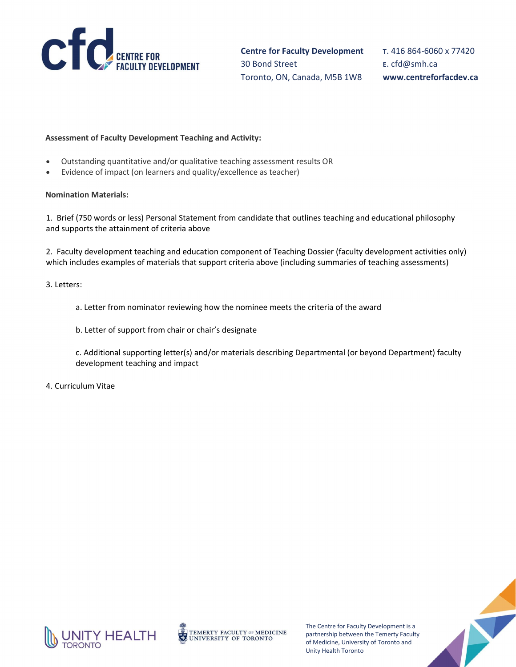

T. 416 864-6060 x 77420 E. cfd@smh.ca www.centreforfacdev.ca

## Assessment of Faculty Development Teaching and Activity:

- Outstanding quantitative and/or qualitative teaching assessment results OR
- Evidence of impact (on learners and quality/excellence as teacher)

#### Nomination Materials:

1. Brief (750 words or less) Personal Statement from candidate that outlines teaching and educational philosophy and supports the attainment of criteria above

2. Faculty development teaching and education component of Teaching Dossier (faculty development activities only) which includes examples of materials that support criteria above (including summaries of teaching assessments)

#### 3. Letters:

- a. Letter from nominator reviewing how the nominee meets the criteria of the award
- b. Letter of support from chair or chair's designate
- c. Additional supporting letter(s) and/or materials describing Departmental (or beyond Department) faculty development teaching and impact
- 4. Curriculum Vitae



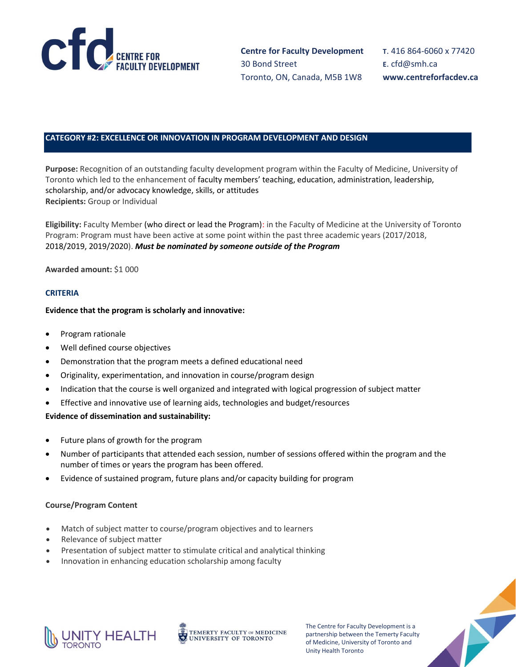

T. 416 864-6060 x 77420 E. cfd@smh.ca www.centreforfacdev.ca

# CATEGORY #2: EXCELLENCE OR INNOVATION IN PROGRAM DEVELOPMENT AND DESIGN

Purpose: Recognition of an outstanding faculty development program within the Faculty of Medicine, University of Toronto which led to the enhancement of faculty members' teaching, education, administration, leadership, scholarship, and/or advocacy knowledge, skills, or attitudes Recipients: Group or Individual

Eligibility: Faculty Member (who direct or lead the Program): in the Faculty of Medicine at the University of Toronto Program: Program must have been active at some point within the past three academic years (2017/2018, 2018/2019, 2019/2020). Must be nominated by someone outside of the Program

## Awarded amount: \$1 000

## **CRITERIA**

#### Evidence that the program is scholarly and innovative:

- Program rationale
- Well defined course objectives
- Demonstration that the program meets a defined educational need
- Originality, experimentation, and innovation in course/program design
- Indication that the course is well organized and integrated with logical progression of subject matter
- Effective and innovative use of learning aids, technologies and budget/resources

## Evidence of dissemination and sustainability:

- Future plans of growth for the program
- Number of participants that attended each session, number of sessions offered within the program and the number of times or years the program has been offered.
- Evidence of sustained program, future plans and/or capacity building for program

#### Course/Program Content

- Match of subject matter to course/program objectives and to learners
- Relevance of subject matter
- Presentation of subject matter to stimulate critical and analytical thinking
- Innovation in enhancing education scholarship among faculty



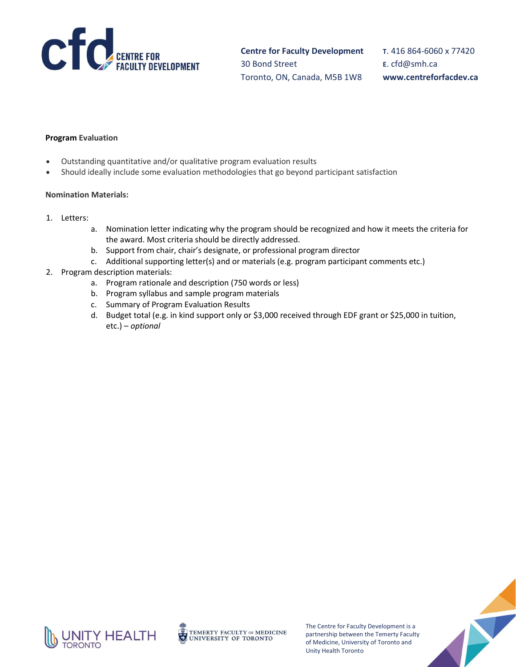

T. 416 864-6060 x 77420 E. cfd@smh.ca www.centreforfacdev.ca

## Program Evaluation

- Outstanding quantitative and/or qualitative program evaluation results
- Should ideally include some evaluation methodologies that go beyond participant satisfaction

#### Nomination Materials:

- 1. Letters:
	- a. Nomination letter indicating why the program should be recognized and how it meets the criteria for the award. Most criteria should be directly addressed.
	- b. Support from chair, chair's designate, or professional program director
	- c. Additional supporting letter(s) and or materials (e.g. program participant comments etc.)
- 2. Program description materials:
	- a. Program rationale and description (750 words or less)
	- b. Program syllabus and sample program materials
	- c. Summary of Program Evaluation Results
	- d. Budget total (e.g. in kind support only or \$3,000 received through EDF grant or \$25,000 in tuition, etc.) – optional